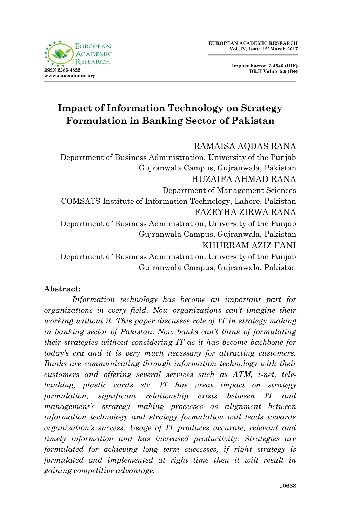

**Impact Factor: 3.4546 (UIF) DRJI Value: 5.9 (B+)**

# **Impact of Information Technology on Strategy Formulation in Banking Sector of Pakistan**

RAMAISA AQDAS RANA

Department of Business Administration, University of the Punjab Gujranwala Campus, Gujranwala, Pakistan HUZAIFA AHMAD RANA Department of Management Sciences COMSATS Institute of Information Technology, Lahore, Pakistan FAZEYHA ZIRWA RANA Department of Business Administration, University of the Punjab Gujranwala Campus, Gujranwala, Pakistan KHURRAM AZIZ FANI Department of Business Administration, University of the Punjab Gujranwala Campus, Gujranwala, Pakistan

#### **Abstract:**

*Information technology has become an important part for organizations in every field. Now organizations can't imagine their working without it. This paper discusses role of IT in strategy making in banking sector of Pakistan. Now banks can't think of formulating their strategies without considering IT as it has become backbone for today's era and it is very much necessary for attracting customers. Banks are communicating through information technology with their customers and offering several services such as ATM, i-net, telebanking, plastic cards etc. IT has great impact on strategy formulation, significant relationship exists between IT and management's strategy making processes as alignment between information technology and strategy formulation will leads towards organization's success. Usage of IT produces accurate, relevant and timely information and has increased productivity. Strategies are formulated for achieving long term successes, if right strategy is formulated and implemented at right time then it will result in gaining competitive advantage.*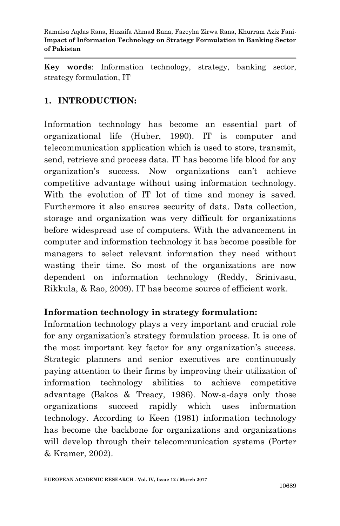**Key words**: Information technology, strategy, banking sector, strategy formulation, IT

### **1. INTRODUCTION:**

Information technology has become an essential part of organizational life (Huber, 1990). IT is computer and telecommunication application which is used to store, transmit, send, retrieve and process data. IT has become life blood for any organization's success. Now organizations can't achieve competitive advantage without using information technology. With the evolution of IT lot of time and money is saved. Furthermore it also ensures security of data. Data collection, storage and organization was very difficult for organizations before widespread use of computers. With the advancement in computer and information technology it has become possible for managers to select relevant information they need without wasting their time. So most of the organizations are now dependent on information technology (Reddy, Srinivasu, Rikkula, & Rao, 2009). IT has become source of efficient work.

### **Information technology in strategy formulation:**

Information technology plays a very important and crucial role for any organization's strategy formulation process. It is one of the most important key factor for any organization's success. Strategic planners and senior executives are continuously paying attention to their firms by improving their utilization of information technology abilities to achieve competitive advantage (Bakos & Treacy, 1986). Now-a-days only those organizations succeed rapidly which uses information technology. According to Keen (1981) information technology has become the backbone for organizations and organizations will develop through their telecommunication systems (Porter & Kramer, 2002).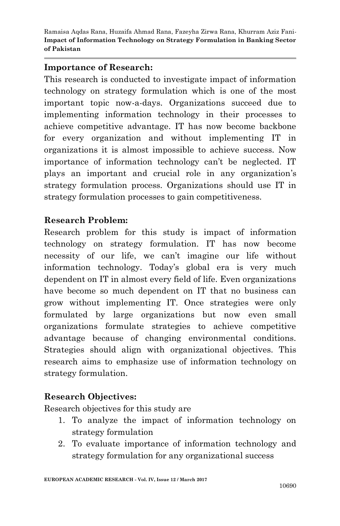#### **Importance of Research:**

This research is conducted to investigate impact of information technology on strategy formulation which is one of the most important topic now-a-days. Organizations succeed due to implementing information technology in their processes to achieve competitive advantage. IT has now become backbone for every organization and without implementing IT in organizations it is almost impossible to achieve success. Now importance of information technology can't be neglected. IT plays an important and crucial role in any organization's strategy formulation process. Organizations should use IT in strategy formulation processes to gain competitiveness.

### **Research Problem:**

Research problem for this study is impact of information technology on strategy formulation. IT has now become necessity of our life, we can't imagine our life without information technology. Today's global era is very much dependent on IT in almost every field of life. Even organizations have become so much dependent on IT that no business can grow without implementing IT. Once strategies were only formulated by large organizations but now even small organizations formulate strategies to achieve competitive advantage because of changing environmental conditions. Strategies should align with organizational objectives. This research aims to emphasize use of information technology on strategy formulation.

### **Research Objectives:**

Research objectives for this study are

- 1. To analyze the impact of information technology on strategy formulation
- 2. To evaluate importance of information technology and strategy formulation for any organizational success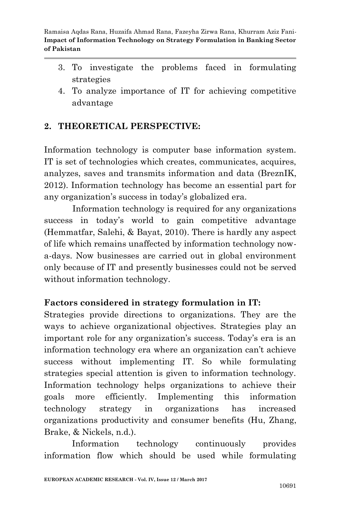- 3. To investigate the problems faced in formulating strategies
- 4. To analyze importance of IT for achieving competitive advantage

### **2. THEORETICAL PERSPECTIVE:**

Information technology is computer base information system. IT is set of technologies which creates, communicates, acquires, analyzes, saves and transmits information and data (BreznIK, 2012). Information technology has become an essential part for any organization's success in today's globalized era.

 Information technology is required for any organizations success in today's world to gain competitive advantage (Hemmatfar, Salehi, & Bayat, 2010). There is hardly any aspect of life which remains unaffected by information technology nowa-days. Now businesses are carried out in global environment only because of IT and presently businesses could not be served without information technology.

### **Factors considered in strategy formulation in IT:**

Strategies provide directions to organizations. They are the ways to achieve organizational objectives. Strategies play an important role for any organization's success. Today's era is an information technology era where an organization can't achieve success without implementing IT. So while formulating strategies special attention is given to information technology. Information technology helps organizations to achieve their goals more efficiently. Implementing this information technology strategy in organizations has increased organizations productivity and consumer benefits (Hu, Zhang, Brake, & Nickels, n.d.).

Information technology continuously provides information flow which should be used while formulating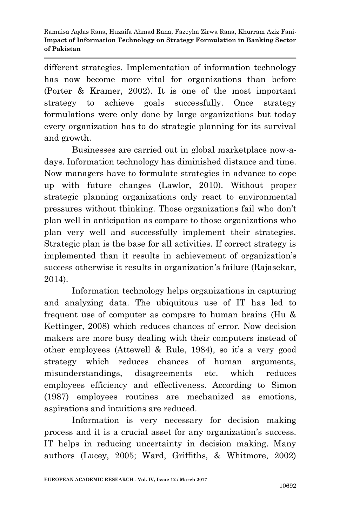different strategies. Implementation of information technology has now become more vital for organizations than before (Porter & Kramer, 2002). It is one of the most important strategy to achieve goals successfully. Once strategy formulations were only done by large organizations but today every organization has to do strategic planning for its survival and growth.

Businesses are carried out in global marketplace now-adays. Information technology has diminished distance and time. Now managers have to formulate strategies in advance to cope up with future changes (Lawlor, 2010). Without proper strategic planning organizations only react to environmental pressures without thinking. Those organizations fail who don't plan well in anticipation as compare to those organizations who plan very well and successfully implement their strategies. Strategic plan is the base for all activities. If correct strategy is implemented than it results in achievement of organization's success otherwise it results in organization's failure (Rajasekar, 2014).

Information technology helps organizations in capturing and analyzing data. The ubiquitous use of IT has led to frequent use of computer as compare to human brains (Hu & Kettinger, 2008) which reduces chances of error. Now decision makers are more busy dealing with their computers instead of other employees (Attewell & Rule, 1984), so it's a very good strategy which reduces chances of human arguments, misunderstandings, disagreements etc. which reduces employees efficiency and effectiveness. According to Simon (1987) employees routines are mechanized as emotions, aspirations and intuitions are reduced.

Information is very necessary for decision making process and it is a crucial asset for any organization's success. IT helps in reducing uncertainty in decision making. Many authors (Lucey, 2005; Ward, Griffiths, & Whitmore, 2002)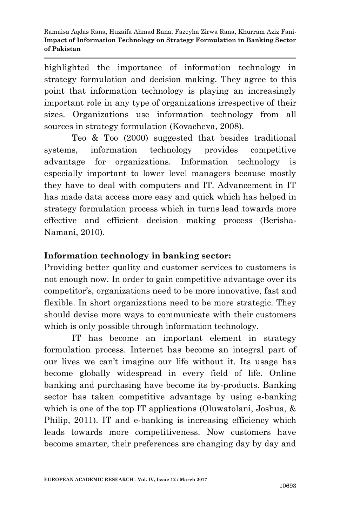highlighted the importance of information technology in strategy formulation and decision making. They agree to this point that information technology is playing an increasingly important role in any type of organizations irrespective of their sizes. Organizations use information technology from all sources in strategy formulation (Kovacheva, 2008).

Teo & Too (2000) suggested that besides traditional systems, information technology provides competitive advantage for organizations. Information technology is especially important to lower level managers because mostly they have to deal with computers and IT. Advancement in IT has made data access more easy and quick which has helped in strategy formulation process which in turns lead towards more effective and efficient decision making process (Berisha-Namani, 2010).

### **Information technology in banking sector:**

Providing better quality and customer services to customers is not enough now. In order to gain competitive advantage over its competitor's, organizations need to be more innovative, fast and flexible. In short organizations need to be more strategic. They should devise more ways to communicate with their customers which is only possible through information technology.

IT has become an important element in strategy formulation process. Internet has become an integral part of our lives we can't imagine our life without it. Its usage has become globally widespread in every field of life. Online banking and purchasing have become its by-products. Banking sector has taken competitive advantage by using e-banking which is one of the top IT applications (Oluwatolani, Joshua, & Philip, 2011). IT and e-banking is increasing efficiency which leads towards more competitiveness. Now customers have become smarter, their preferences are changing day by day and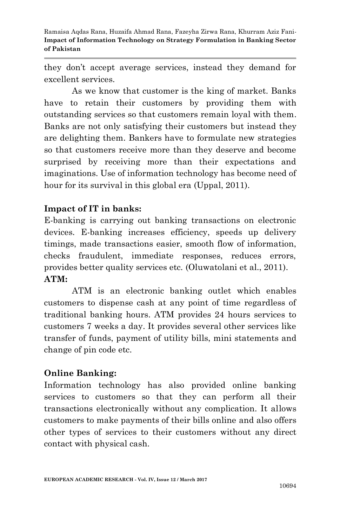they don't accept average services, instead they demand for excellent services.

As we know that customer is the king of market. Banks have to retain their customers by providing them with outstanding services so that customers remain loyal with them. Banks are not only satisfying their customers but instead they are delighting them. Bankers have to formulate new strategies so that customers receive more than they deserve and become surprised by receiving more than their expectations and imaginations. Use of information technology has become need of hour for its survival in this global era (Uppal, 2011).

### **Impact of IT in banks:**

E-banking is carrying out banking transactions on electronic devices. E-banking increases efficiency, speeds up delivery timings, made transactions easier, smooth flow of information, checks fraudulent, immediate responses, reduces errors, provides better quality services etc. (Oluwatolani et al., 2011). **ATM:**

ATM is an electronic banking outlet which enables customers to dispense cash at any point of time regardless of traditional banking hours. ATM provides 24 hours services to customers 7 weeks a day. It provides several other services like transfer of funds, payment of utility bills, mini statements and change of pin code etc.

### **Online Banking:**

Information technology has also provided online banking services to customers so that they can perform all their transactions electronically without any complication. It allows customers to make payments of their bills online and also offers other types of services to their customers without any direct contact with physical cash.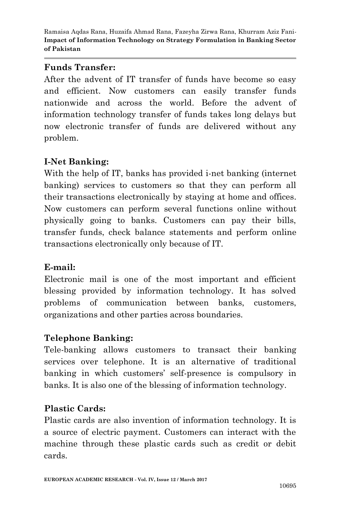### **Funds Transfer:**

After the advent of IT transfer of funds have become so easy and efficient. Now customers can easily transfer funds nationwide and across the world. Before the advent of information technology transfer of funds takes long delays but now electronic transfer of funds are delivered without any problem.

## **I-Net Banking:**

With the help of IT, banks has provided i-net banking (internet banking) services to customers so that they can perform all their transactions electronically by staying at home and offices. Now customers can perform several functions online without physically going to banks. Customers can pay their bills, transfer funds, check balance statements and perform online transactions electronically only because of IT.

### **E-mail:**

Electronic mail is one of the most important and efficient blessing provided by information technology. It has solved problems of communication between banks, customers, organizations and other parties across boundaries.

### **Telephone Banking:**

Tele-banking allows customers to transact their banking services over telephone. It is an alternative of traditional banking in which customers' self-presence is compulsory in banks. It is also one of the blessing of information technology.

### **Plastic Cards:**

Plastic cards are also invention of information technology. It is a source of electric payment. Customers can interact with the machine through these plastic cards such as credit or debit cards.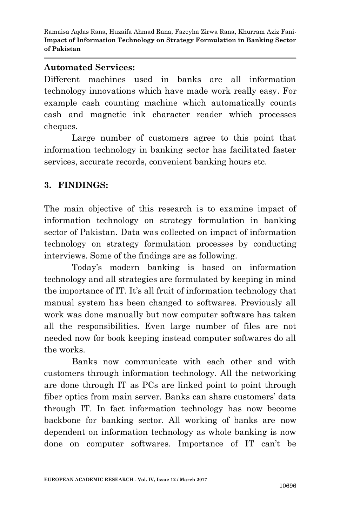#### **Automated Services:**

Different machines used in banks are all information technology innovations which have made work really easy. For example cash counting machine which automatically counts cash and magnetic ink character reader which processes cheques.

Large number of customers agree to this point that information technology in banking sector has facilitated faster services, accurate records, convenient banking hours etc.

### **3. FINDINGS:**

The main objective of this research is to examine impact of information technology on strategy formulation in banking sector of Pakistan. Data was collected on impact of information technology on strategy formulation processes by conducting interviews. Some of the findings are as following.

Today's modern banking is based on information technology and all strategies are formulated by keeping in mind the importance of IT. It's all fruit of information technology that manual system has been changed to softwares. Previously all work was done manually but now computer software has taken all the responsibilities. Even large number of files are not needed now for book keeping instead computer softwares do all the works.

Banks now communicate with each other and with customers through information technology. All the networking are done through IT as PCs are linked point to point through fiber optics from main server. Banks can share customers' data through IT. In fact information technology has now become backbone for banking sector. All working of banks are now dependent on information technology as whole banking is now done on computer softwares. Importance of IT can't be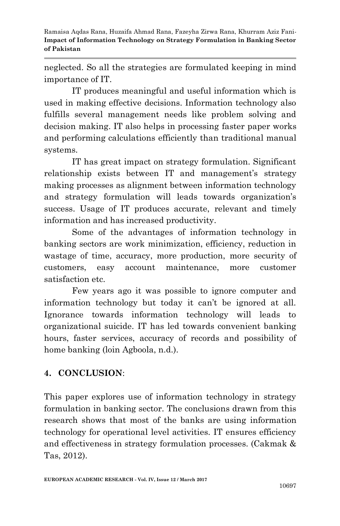neglected. So all the strategies are formulated keeping in mind importance of IT.

IT produces meaningful and useful information which is used in making effective decisions. Information technology also fulfills several management needs like problem solving and decision making. IT also helps in processing faster paper works and performing calculations efficiently than traditional manual systems.

IT has great impact on strategy formulation. Significant relationship exists between IT and management's strategy making processes as alignment between information technology and strategy formulation will leads towards organization's success. Usage of IT produces accurate, relevant and timely information and has increased productivity.

Some of the advantages of information technology in banking sectors are work minimization, efficiency, reduction in wastage of time, accuracy, more production, more security of customers, easy account maintenance, more customer satisfaction etc.

Few years ago it was possible to ignore computer and information technology but today it can't be ignored at all. Ignorance towards information technology will leads to organizational suicide. IT has led towards convenient banking hours, faster services, accuracy of records and possibility of home banking (loin Agboola, n.d.).

# **4. CONCLUSION**:

This paper explores use of information technology in strategy formulation in banking sector. The conclusions drawn from this research shows that most of the banks are using information technology for operational level activities. IT ensures efficiency and effectiveness in strategy formulation processes. (Cakmak & Tas, 2012).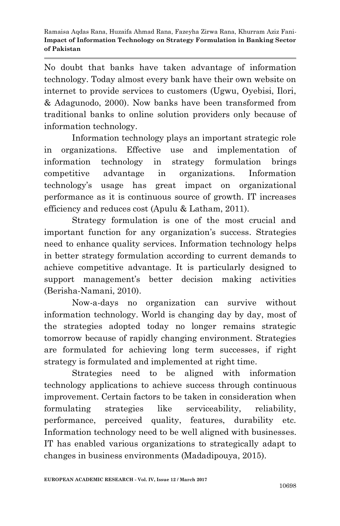No doubt that banks have taken advantage of information technology. Today almost every bank have their own website on internet to provide services to customers (Ugwu, Oyebisi, Ilori, & Adagunodo, 2000). Now banks have been transformed from traditional banks to online solution providers only because of information technology.

Information technology plays an important strategic role in organizations. Effective use and implementation of information technology in strategy formulation brings competitive advantage in organizations. Information technology's usage has great impact on organizational performance as it is continuous source of growth. IT increases efficiency and reduces cost (Apulu & Latham, 2011).

Strategy formulation is one of the most crucial and important function for any organization's success. Strategies need to enhance quality services. Information technology helps in better strategy formulation according to current demands to achieve competitive advantage. It is particularly designed to support management's better decision making activities (Berisha-Namani, 2010).

Now-a-days no organization can survive without information technology. World is changing day by day, most of the strategies adopted today no longer remains strategic tomorrow because of rapidly changing environment. Strategies are formulated for achieving long term successes, if right strategy is formulated and implemented at right time.

Strategies need to be aligned with information technology applications to achieve success through continuous improvement. Certain factors to be taken in consideration when formulating strategies like serviceability, reliability, performance, perceived quality, features, durability etc. Information technology need to be well aligned with businesses. IT has enabled various organizations to strategically adapt to changes in business environments (Madadipouya, 2015).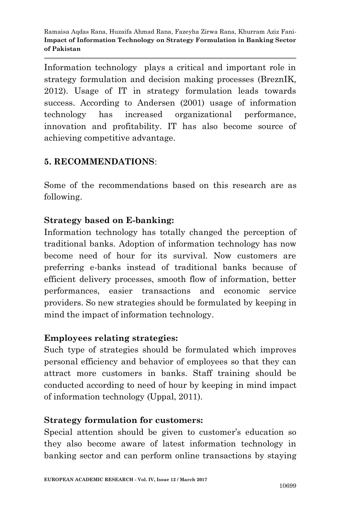Information technology plays a critical and important role in strategy formulation and decision making processes (BreznIK, 2012). Usage of IT in strategy formulation leads towards success. According to Andersen (2001) usage of information technology has increased organizational performance, innovation and profitability. IT has also become source of achieving competitive advantage.

### **5. RECOMMENDATIONS**:

Some of the recommendations based on this research are as following.

### **Strategy based on E-banking:**

Information technology has totally changed the perception of traditional banks. Adoption of information technology has now become need of hour for its survival. Now customers are preferring e-banks instead of traditional banks because of efficient delivery processes, smooth flow of information, better performances, easier transactions and economic service providers. So new strategies should be formulated by keeping in mind the impact of information technology.

### **Employees relating strategies:**

Such type of strategies should be formulated which improves personal efficiency and behavior of employees so that they can attract more customers in banks. Staff training should be conducted according to need of hour by keeping in mind impact of information technology (Uppal, 2011).

### **Strategy formulation for customers:**

Special attention should be given to customer's education so they also become aware of latest information technology in banking sector and can perform online transactions by staying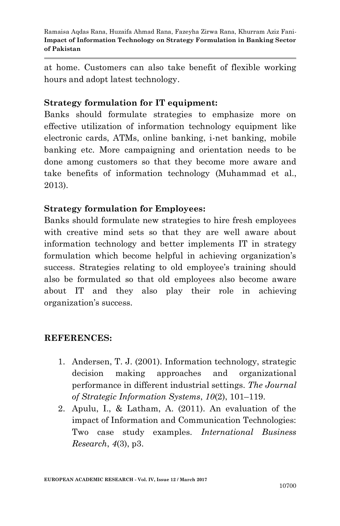at home. Customers can also take benefit of flexible working hours and adopt latest technology.

### **Strategy formulation for IT equipment:**

Banks should formulate strategies to emphasize more on effective utilization of information technology equipment like electronic cards, ATMs, online banking, i-net banking, mobile banking etc. More campaigning and orientation needs to be done among customers so that they become more aware and take benefits of information technology (Muhammad et al., 2013).

### **Strategy formulation for Employees:**

Banks should formulate new strategies to hire fresh employees with creative mind sets so that they are well aware about information technology and better implements IT in strategy formulation which become helpful in achieving organization's success. Strategies relating to old employee's training should also be formulated so that old employees also become aware about IT and they also play their role in achieving organization's success.

### **REFERENCES:**

- 1. Andersen, T. J. (2001). Information technology, strategic decision making approaches and organizational performance in different industrial settings. *The Journal of Strategic Information Systems*, *10*(2), 101–119.
- 2. Apulu, I., & Latham, A. (2011). An evaluation of the impact of Information and Communication Technologies: Two case study examples. *International Business Research*, *4*(3), p3.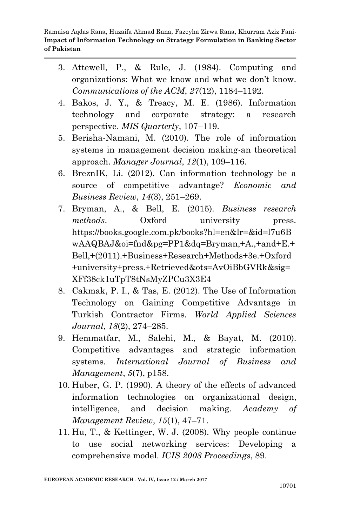- 3. Attewell, P., & Rule, J. (1984). Computing and organizations: What we know and what we don't know. *Communications of the ACM*, *27*(12), 1184–1192.
- 4. Bakos, J. Y., & Treacy, M. E. (1986). Information technology and corporate strategy: a research perspective. *MIS Quarterly*, 107–119.
- 5. Berisha-Namani, M. (2010). The role of information systems in management decision making-an theoretical approach. *Manager Journal*, *12*(1), 109–116.
- 6. BreznIK, Li. (2012). Can information technology be a source of competitive advantage? *Economic and Business Review*, *14*(3), 251–269.
- 7. Bryman, A., & Bell, E. (2015). *Business research methods*. Oxford university press. https://books.google.com.pk/books?hl=en&lr=&id=l7u6B wAAQBAJ&oi=fnd&pg=PP1&dq=Bryman,+A.,+and+E.+ Bell,+(2011).+Business+Research+Methods+3e.+Oxford +university+press.+Retrieved&ots=AvOiBbGVRk&sig= XFf38ck1uTpT8tNsMyZPCu3X3E4
- 8. Cakmak, P. I., & Tas, E. (2012). The Use of Information Technology on Gaining Competitive Advantage in Turkish Contractor Firms. *World Applied Sciences Journal*, *18*(2), 274–285.
- 9. Hemmatfar, M., Salehi, M., & Bayat, M. (2010). Competitive advantages and strategic information systems. *International Journal of Business and Management*, *5*(7), p158.
- 10. Huber, G. P. (1990). A theory of the effects of advanced information technologies on organizational design, intelligence, and decision making. *Academy of Management Review*, *15*(1), 47–71.
- 11. Hu, T., & Kettinger, W. J. (2008). Why people continue to use social networking services: Developing a comprehensive model. *ICIS 2008 Proceedings*, 89.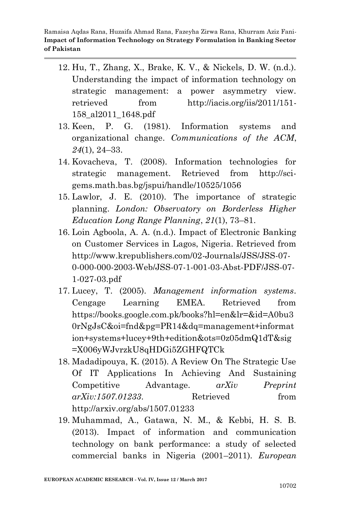- 12. Hu, T., Zhang, X., Brake, K. V., & Nickels, D. W. (n.d.). Understanding the impact of information technology on strategic management: a power asymmetry view. retrieved from http://iacis.org/iis/2011/151- 158\_al2011\_1648.pdf
- 13. Keen, P. G. (1981). Information systems and organizational change. *Communications of the ACM*, *24*(1), 24–33.
- 14. Kovacheva, T. (2008). Information technologies for strategic management. Retrieved from http://scigems.math.bas.bg/jspui/handle/10525/1056
- 15. Lawlor, J. E. (2010). The importance of strategic planning. *London: Observatory on Borderless Higher Education Long Range Planning*, *21*(1), 73–81.
- 16. Loin Agboola, A. А. (n.d.). Impact of Electronic Banking on Customer Services in Lagos, Nigeria. Retrieved from http://www.krepublishers.com/02-Journals/JSS/JSS-07- 0-000-000-2003-Web/JSS-07-1-001-03-Abst-PDF/JSS-07- 1-027-03.pdf
- 17. Lucey, T. (2005). *Management information systems*. Cengage Learning EMEA. Retrieved from https://books.google.com.pk/books?hl=en&lr=&id=A0bu3 0rNgJsC&oi=fnd&pg=PR14&dq=management+informat ion+systems+lucey+9th+edition&ots=0z05dmQ1dT&sig =X006yWJvrzkU8qHDGi5ZGHFQTCk
- 18. Madadipouya, K. (2015). A Review On The Strategic Use Of IT Applications In Achieving And Sustaining Competitive Advantage. *arXiv Preprint arXiv:1507.01233*. Retrieved from http://arxiv.org/abs/1507.01233
- 19. Muhammad, A., Gatawa, N. M., & Kebbi, H. S. B. (2013). Impact of information and communication technology on bank performance: a study of selected commercial banks in Nigeria (2001–2011). *European*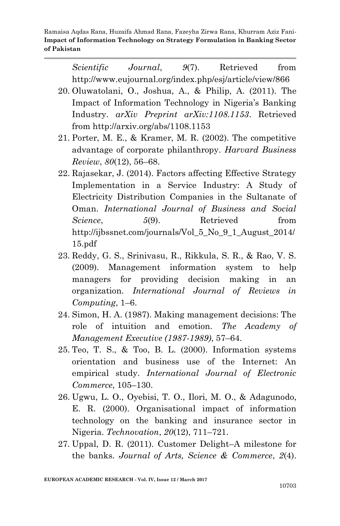> *Scientific Journal*, *9*(7). Retrieved from http://www.eujournal.org/index.php/esj/article/view/866

- 20. Oluwatolani, O., Joshua, A., & Philip, A. (2011). The Impact of Information Technology in Nigeria's Banking Industry. *arXiv Preprint arXiv:1108.1153*. Retrieved from http://arxiv.org/abs/1108.1153
- 21. Porter, M. E., & Kramer, M. R. (2002). The competitive advantage of corporate philanthropy. *Harvard Business Review*, *80*(12), 56–68.
- 22. Rajasekar, J. (2014). Factors affecting Effective Strategy Implementation in a Service Industry: A Study of Electricity Distribution Companies in the Sultanate of Oman. *International Journal of Business and Social Science*, *5*(9). Retrieved from http://ijbssnet.com/journals/Vol\_5\_No\_9\_1\_August\_2014/ 15.pdf
- 23. Reddy, G. S., Srinivasu, R., Rikkula, S. R., & Rao, V. S. (2009). Management information system to help managers for providing decision making in an organization. *International Journal of Reviews in Computing*, 1–6.
- 24. Simon, H. A. (1987). Making management decisions: The role of intuition and emotion. *The Academy of Management Executive (1987-1989)*, 57–64.
- 25. Teo, T. S., & Too, B. L. (2000). Information systems orientation and business use of the Internet: An empirical study. *International Journal of Electronic Commerce*, 105–130.
- 26. Ugwu, L. O., Oyebisi, T. O., Ilori, M. O., & Adagunodo, E. R. (2000). Organisational impact of information technology on the banking and insurance sector in Nigeria. *Technovation*, *20*(12), 711–721.
- 27. Uppal, D. R. (2011). Customer Delight–A milestone for the banks. *Journal of Arts, Science & Commerce*, *2*(4).